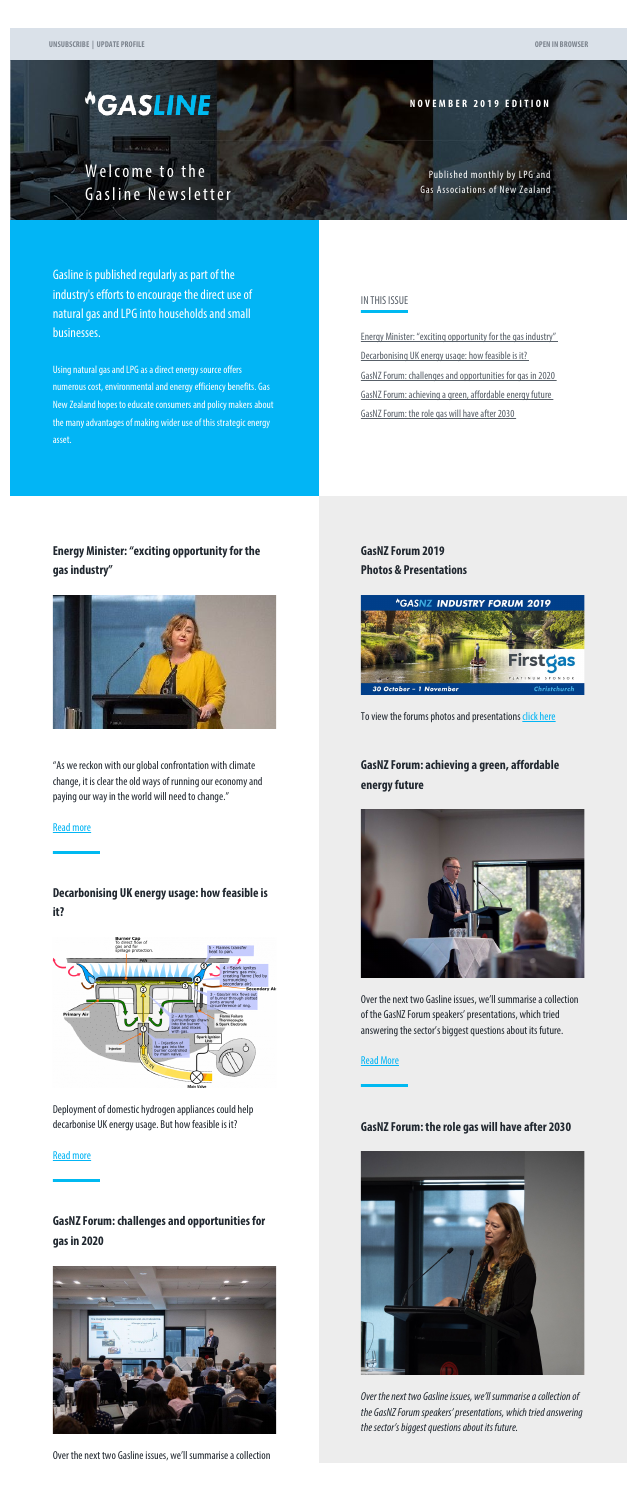# <span id="page-0-0"></span>*<u>\*GASLINE</u>*

**Contractor** 

**NOVEMBER 2019 EDITION**

Welcome to the Gasline Newsletter

Published monthly by LPG and Gas Associations of New Zealand

Gasline is published regularly as part of the industry's efforts to encourage the direct use of natural gas and LPG into households and small businesses.

Using natural gas and LPG as a direct energy source offers numerous cost, environmental and energy efficiency benefits. Gas New Zealand hopes to educate consumers and policy makers about the many advantages of making wider use of this strategic energy asset.

#### IN THIS ISSUE

[Energy Minister: "exciting opportunity for the gas industry"](#page-0-0) [Decarbonising UK energy usage: how feasible is it?](#page-0-0) [GasNZ Forum: challenges and opportunities for gas in 2020](#page-0-0) [GasNZ Forum: achieving a green, affordable energy future](#page-0-0) [GasNZ Forum: the role gas will have after 2030](#page-0-1)

**Energy Minister: "exciting opportunity for the gas industry"**



"As we reckon with our global confrontation with climate change, it is clear the old ways of running our economy and paying our way in the world will need to change."

#### [Read more](http://www.gasnz.org.nz/uploads/Send-outs-2019/November/story-01.php)

**Decarbonising UK energy usage: how feasible is it?**

<span id="page-0-1"></span>Deployment of domestic hydrogen appliances could help decarbonise UK energy usage. But how feasible is it?

#### [Read more](http://www.gasnz.org.nz/uploads/Send-outs-2019/November/story-02.php)

## **GasNZ Forum: challenges and opportunities for gas in 2020**



Over the next two Gasline issues, we'll summarise a collection

**GasNZ Forum 2019 Photos & Presentations**



To view the forums photos and presentations [click here](http://www.gasnz.org.nz/nz-gas-industry/news-and-events/2019-Presentations-Photos)

## **GasNZ Forum: achieving a green, affordable energy future**





Over the next two Gasline issues, we'll summarise a collection of the GasNZ Forum speakers' presentations, which tried answering the sector's biggest questions about its future.

#### [Read More](http://www.gasnz.org.nz/uploads/Send-outs-2019/November/story-04.php)

### **GasNZ Forum: the role gas will have after 2030**



*Over the next two Gasline issues, we'll summarise a collection of the GasNZ Forum speakers' presentations, which tried answering the sector's biggest questions about its future.*